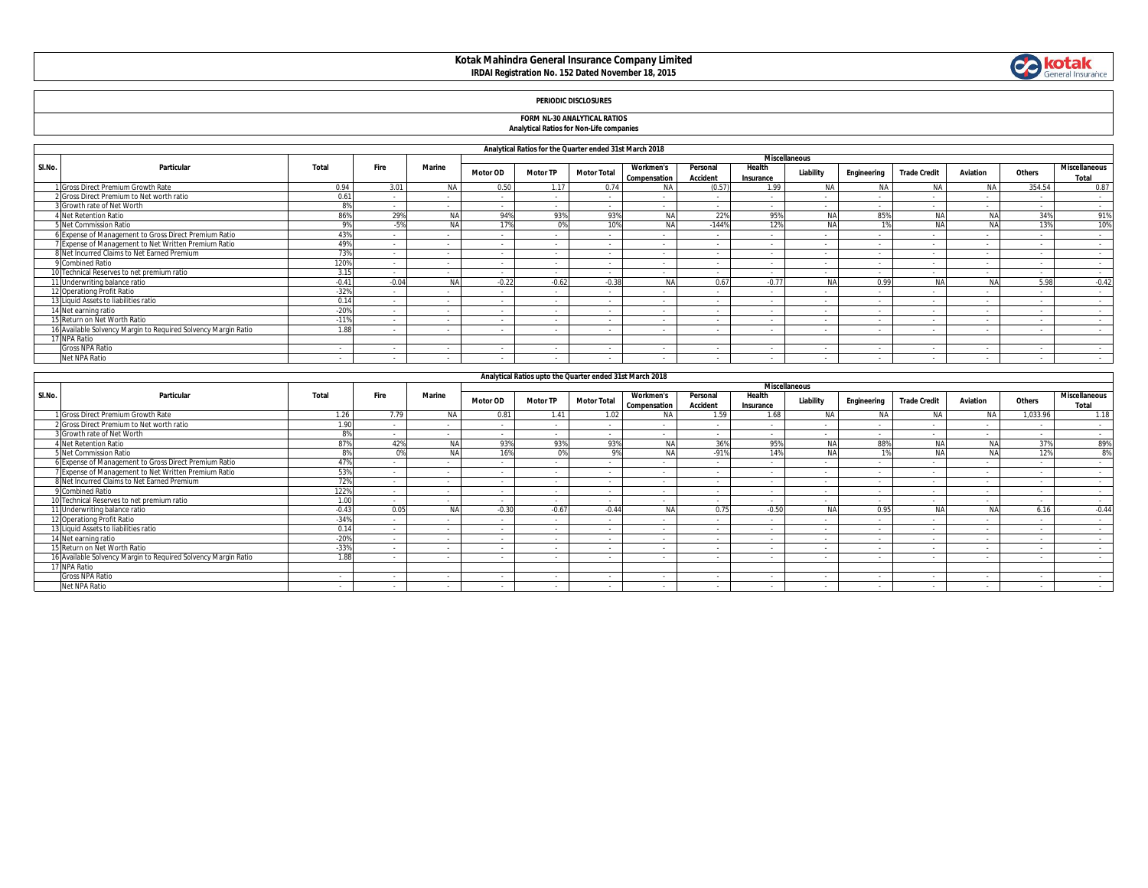# **Kotak Mahindra General Insurance Company Limited IRDAI Registration No. 152 Dated November 18, 2015**



### **PERIODIC DISCLOSURES**

#### **FORM NL-30 ANALYTICAL RATIOS Analytical Ratios for Non-Life companies**

| <b>Alialytical Katios for Nort-Life companies</b> |  |
|---------------------------------------------------|--|
|                                                   |  |

|        | Analytical Ratios for the Quarter ended 31st March 2018        |               |         |                      |                 |                 |                    |                                  |                             |                     |            |             |                     |                 |        |                               |
|--------|----------------------------------------------------------------|---------------|---------|----------------------|-----------------|-----------------|--------------------|----------------------------------|-----------------------------|---------------------|------------|-------------|---------------------|-----------------|--------|-------------------------------|
|        |                                                                |               |         | <b>Miscellaneous</b> |                 |                 |                    |                                  |                             |                     |            |             |                     |                 |        |                               |
| SI.No. | Particular                                                     | Total         | Fire    | Marine               | <b>Motor OD</b> | <b>Motor TP</b> | <b>Motor Total</b> | <b>Workmen's</b><br>Compensation | Personal<br><b>Accident</b> | Health<br>Insurance | Liability  | Engineering | <b>Trade Credit</b> | <b>Aviation</b> | Others | <b>Miscellaneous</b><br>Total |
|        | 1 Gross Direct Premium Growth Rate                             | 0.94          | 3.01    | <b>NA</b>            | 0.50            | 1.17            | 0.74               | <b>NA</b>                        | (0.57)                      | 1.99                | <b>NA</b>  | <b>NA</b>   | <b>NA</b>           | NA.             | 354.54 | 0.87                          |
|        | 2 Gross Direct Premium to Net worth ratio                      | $0.6^{\circ}$ |         |                      | $\sim$          |                 |                    |                                  |                             |                     |            |             |                     |                 |        | $\sim$                        |
|        | 3 Growth rate of Net Worth                                     | 00/           |         | $\sim$               | $\sim$          | $\sim$          | $\sim$             |                                  |                             |                     |            |             | $\sim$              |                 | $\sim$ | $\sim$                        |
|        | 4 Net Retention Ratio                                          | 869           | 29%     | <b>NA</b>            | 94%             | 93%             | 93%                | <b>NA</b>                        | 22%                         | 95%                 | NA.        | 85%         |                     | <b>NIA</b>      | 34%    | 91%                           |
|        | 5 Net Commission Ratio                                         |               |         | <b>NA</b>            |                 | 0%              | 10%                | <b>NA</b>                        | $-144%$                     | 12%                 | NA         |             |                     | N <sub>A</sub>  | 13%    | 10%                           |
|        | 6 Expense of Management to Gross Direct Premium Ratio          | 439           |         |                      | $\sim$          | $\sim$          |                    |                                  | $\sim$                      |                     |            |             | $\sim$              |                 |        | $\sim$                        |
|        | 7 Expense of Management to Net Written Premium Ratio           | 49%           |         | $\sim$               | $\sim$          | $\sim$          | $\sim$             |                                  | $\sim$                      |                     |            | $\sim$      | $\sim$              | $\sim$          | $\sim$ | $\sim$                        |
|        | 8 Net Incurred Claims to Net Earned Premium                    | 73%           |         |                      | $\sim$          |                 |                    |                                  | $\sim$                      |                     |            |             | $\sim$              |                 |        | $\sim$                        |
|        | 9 Combined Ratio                                               | 120%          |         | $\sim$               | $\sim$          | $\sim$          | $\sim$             |                                  | $\sim$                      |                     |            | $\sim$      | $\sim$              | $\sim$          | $\sim$ | $\sim$                        |
|        | 10 Technical Reserves to net premium ratio                     | 3.15          |         |                      | $\sim$          | $\sim$          |                    |                                  |                             |                     |            |             | $\sim$              |                 |        | $\sim$                        |
|        | 11 Underwriting balance ratio                                  | $-0.41$       | $-0.04$ | <b>NA</b>            | $-0.22$         | $-0.62$         | $-0.38$            | <b>NA</b>                        | 0.67                        | $-0.77$             | <b>AIA</b> | 0.99        |                     | <b>NA</b>       | 5.98   | $-0.42$                       |
|        | 12 Operationg Profit Ratio                                     | $-329$        |         |                      | $\sim$          |                 |                    |                                  | - 11                        | . .                 |            |             | $\sim$              |                 |        | $\sim$                        |
|        | 13 Liquid Assets to liabilities ratio                          | 0.1           |         |                      | $\sim$          |                 |                    |                                  | $\sim$                      | . .                 |            |             | $\sim$              |                 |        | $\sim$                        |
|        | 14 Net earning ratio                                           | $-20%$        |         |                      | . .             |                 |                    |                                  |                             |                     |            |             |                     |                 |        | $\sim$                        |
|        | 15 Return on Net Worth Ratio                                   | $-119$        |         |                      | $\sim$          |                 |                    |                                  | $\sim$                      |                     |            | $\sim$      | $\sim$              |                 |        | $\sim$                        |
|        | 16 Available Solvency Margin to Required Solvency Margin Ratio | 1.88          |         |                      | - 1             |                 |                    |                                  | н.                          |                     |            |             |                     |                 |        | $\sim$                        |
|        | 17 NPA Ratio                                                   |               |         |                      |                 |                 |                    |                                  |                             |                     |            |             |                     |                 |        |                               |
|        | <b>Gross NPA Ratio</b>                                         | $\sim$        |         | $\sim$               | $\sim$          |                 | . .                | $\overline{\phantom{a}}$         | $\sim$                      |                     |            | ۰           | $\sim$              | $\sim$          | $\sim$ | $\sim$                        |
|        | Net NPA Ratio                                                  |               |         |                      |                 |                 |                    |                                  |                             |                     |            |             |                     |                 |        |                               |

|        | Analytical Ratios upto the Quarter ended 31st March 2018       |         |                      |               |          |                 |                          |                                  |                             |                          |           |             |                     |           |          |                               |
|--------|----------------------------------------------------------------|---------|----------------------|---------------|----------|-----------------|--------------------------|----------------------------------|-----------------------------|--------------------------|-----------|-------------|---------------------|-----------|----------|-------------------------------|
|        |                                                                |         | <b>Miscellaneous</b> |               |          |                 |                          |                                  |                             |                          |           |             |                     |           |          |                               |
| SI.No. | Particular                                                     | Total   | Fire                 | <b>Marine</b> | Motor OD | <b>Motor TP</b> | <b>Motor Total</b>       | <b>Workmen's</b><br>Compensation | Personal<br><b>Accident</b> | Health<br>Insurance      | Liability | Engineering | <b>Trade Credit</b> | Aviation  | Others   | <b>Miscellaneous</b><br>Total |
|        | I Gross Direct Premium Growth Rate                             | 1.26    | 7.79                 | <b>NA</b>     | 0.81     | 1.41            | 1.02                     | <b>NA</b>                        | 1.59                        | 1.68                     |           |             | <b>NA</b>           | NA.       | 1,033.96 | 1.18                          |
|        | 2 Gross Direct Premium to Net worth ratio                      | 1.90    |                      |               | $\sim$   | $\sim$          |                          |                                  |                             |                          |           |             |                     |           |          | $\sim$                        |
|        | 3 Growth rate of Net Worth                                     | 8%      |                      |               | $\sim$   | $\sim$          |                          |                                  |                             |                          |           |             | $\sim$              |           |          | $\sim$                        |
|        | <b>Net Retention Ratio</b>                                     | 87%     | 42%                  | <b>NA</b>     | 93%      | 93%             | 93%                      | N/                               | 36%                         | 95%                      | <b>NA</b> | 88%         | NA                  | <b>NA</b> | 37%      | 89%                           |
|        | 5 Net Commission Ratio                                         | 89      | n%                   | <b>MA</b>     | 16%      | 0%              | $Q\%$                    | N <sub>L</sub>                   | $-91%$                      | 14%                      | NA        |             | NA                  | <b>NA</b> | 12%      | 8%                            |
|        | 6 Expense of Management to Gross Direct Premium Ratio          | 47%     |                      |               | $\sim$   | $\sim$          |                          |                                  | $\sim$                      |                          |           |             | $\sim$              |           |          |                               |
|        | 7 Expense of Management to Net Written Premium Ratio           | 53%     |                      | $\sim$        | $\sim$   | $\sim$          | $\overline{\phantom{a}}$ | $\sim$                           | $\sim$                      | $\overline{\phantom{a}}$ |           | $\sim$      | $\sim$              |           | $\sim$   | $\sim$                        |
|        | 8 Net Incurred Claims to Net Earned Premium                    | 72%     |                      |               | н.       |                 |                          |                                  |                             |                          |           |             |                     |           |          | $\sim$                        |
|        | 9 Combined Ratio                                               | 122%    | $\sim$               | $\sim$        | $\sim$   | $\sim$          | $\sim$                   |                                  | $\sim$                      | $\overline{\phantom{a}}$ | $\sim$    | $\sim$      | $\sim$              | $\sim$    | $\sim$   | $\sim$                        |
|        | 10 Technical Reserves to net premium ratio                     | 1.00    | $\sim$               | $\sim$        | $\sim$   | $\sim$          | $\overline{\phantom{a}}$ | $\sim$                           | $\sim$                      | $\sim$                   | $\sim$    | $\sim$      | $\sim$              |           |          | $\sim$                        |
|        | 11 Underwriting balance ratio                                  | $-0.43$ | 0.05                 |               | $-0.30$  | $-0.67$         | $-0.44$                  | N,                               | 0.75                        | $-0.50$                  |           | 0.95        | NA                  | <b>NA</b> | 6.16     | $-0.44$                       |
|        | 12 Operationg Profit Ratio                                     | $-34%$  |                      |               | $\sim$   | $\sim$          |                          |                                  | $\sim$                      |                          |           |             | $\sim$              |           |          | $\sim$                        |
|        | 13 Liquid Assets to liabilities ratio                          | 0.14    | $\sim$               | $\sim$        | $\sim$   | $\sim$          |                          |                                  | $\sim$                      | $\sim$                   | $\sim$    |             | $\sim$              |           |          | $\sim$                        |
|        | 14 Net earning ratio                                           | $-20%$  | $\sim$               | $\sim$        | $\sim$   | $\sim$          | $\sim$                   | $\sim$                           | $\sim$                      | $\sim$                   | $\sim$    | $\sim$      | $\sim$              | $\sim$    | $\sim$   | $\sim$                        |
|        | 15 Return on Net Worth Ratio                                   | $-33%$  | $\sim$               | $\sim$        | $\sim$   | $\sim$          | $\overline{\phantom{a}}$ |                                  | $\sim$                      | $\sim$                   |           | $\sim$      | $\sim$              |           | $\sim$   | $\sim$                        |
|        | 16 Available Solvency Margin to Required Solvency Margin Ratio | 1.88    |                      |               | н.       | $\sim$          |                          |                                  |                             |                          |           |             |                     |           |          |                               |
|        | 17 NPA Ratio                                                   |         |                      |               |          |                 |                          |                                  |                             |                          |           |             |                     |           |          |                               |
|        | <b>Gross NPA Ratio</b>                                         |         |                      |               |          |                 |                          |                                  |                             |                          |           |             |                     |           |          |                               |
|        | Net NPA Ratio                                                  |         |                      |               |          |                 |                          |                                  |                             |                          |           |             |                     |           |          |                               |